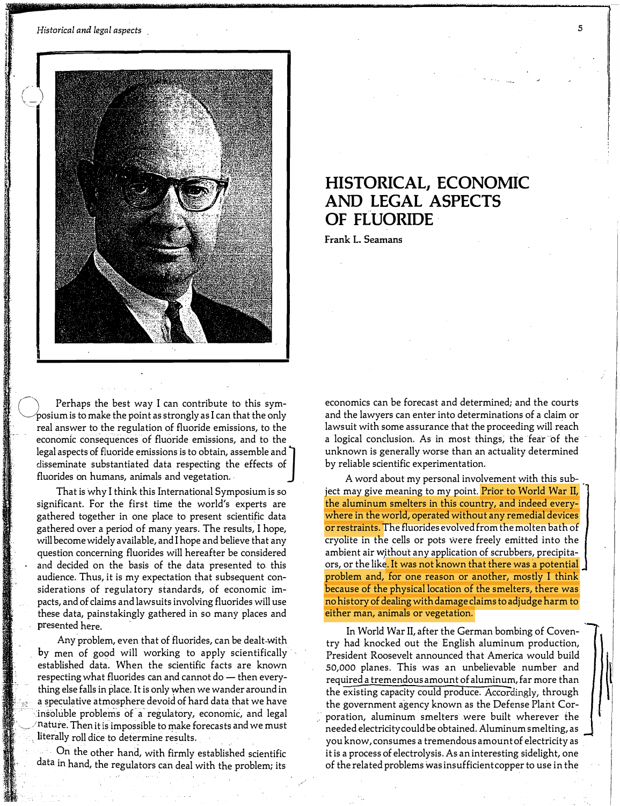!·:

 $\sim$ 

·"

; .

:



Perhaps the best way I can contribute to this symposium is to make the point as strongly as I can that the only real answer to the regulation of fluoride emissions, to the economic consequences of fluoride emissions, and to the legal aspects of fluoride emissions is to obtain, assemble and<br>disseminate substantiated data respecting the effects of fluorides on humans, animals and vegetation.

That is why I think this International Symposium is so significant. For the first time the world's experts are gathered together in one place to present scientific data gathered over a period of many years. The results, I hope, will become widely available, and I hope and believe that any question concerning fluorides will hereafter be considered and decided on the basis of the data presented to this audience. Thus, it is my expectation that subsequent considerations of regulatory standards, of economic impacts, and of claims and lawsuits involving fluorides will use these data, painstakingly gathered in so many places and presented here. ·

Any problem, even that of fluorides, can be dealt-with by men of good will working to apply scientifically established data. When the scientific facts are known respecting what fluorides can and cannot do — then everything else falls in place. It is only when we wander around in a speculative atmosphere devoid of hard data that we have insoluble problems of a regulatory, economic, and legal nature. Then it is impossible to make forecasts and we must literally roll dice to determine results.

· On the other hand, with firmly established scientific data in hand, the regulators can deal with the problem; its

## HISTORICAL, ECONOMIC AND LEGAL ASPECTS OF FLUORIDE

Frank L. Seamans

economics can be forecast and determined; and the courts and the lawyers can enter into determinations of a claim or lawsuit with some assurance that the proceeding will reach a logical conclusion. As in most things, the fear of the unknown is generally worse than an actuality determined by reliable scientific experimentation.

A word about my personal involvement with this sub- . ject may give meaning to my point. Prior to World War II, the aluminum smelters in this country, and indeed everywhere in the world, operated without any remedial devices or restraints. The fluorides evolved from the molten bath of cryolite in the cells or pots were freely emitted into the ambient air without any application of scrubbers, precipitaors, or the like. It was not known that there was a potential problem and, for one reason or another, mostly I think because of the physical location of the smelters, there was no history of dealing with damage claims to adjudge harm to either man, animals or vegetation.

In World War II, after the German bombing of Coventry had knocked out the English aluminum production, President Roosevelt announced that America would build 50,000 planes. This was an unbelievable number and required a tremendous amount of aluminum, far more than the existing capacity could produce. Accordingly, through the government agency known as the Defense Plant Cor poration, aluminum smelters were built wherever the needed electricity could be obtained. Aluminum smelting, as you know, consumes a tremendous amount of electricity as it is a process of electrolysis. As an interesting sidelight, one of the related problems was insufficient copper to use in the